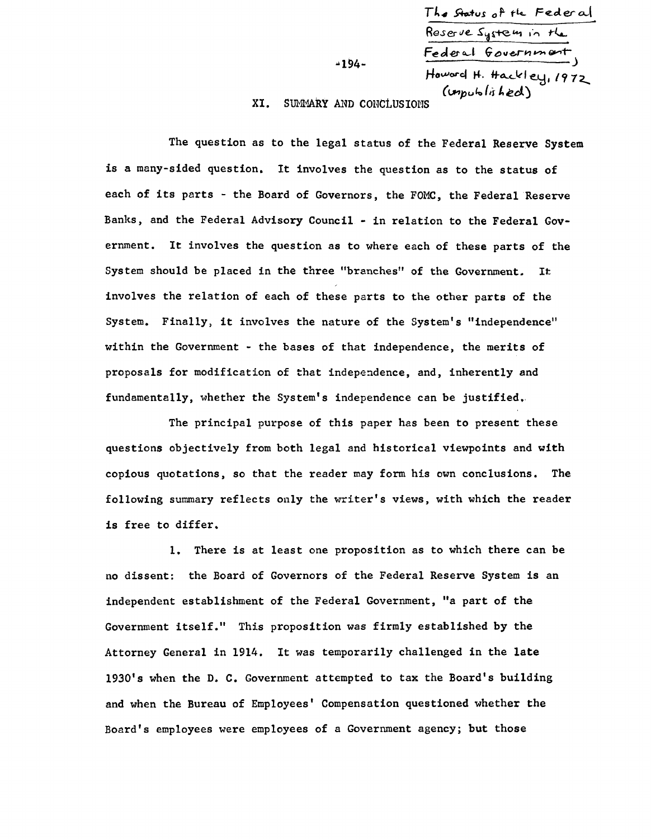|                     | The Status of the Federal |
|---------------------|---------------------------|
|                     | Reserve System in the     |
| $-194-$             | Federal Government        |
|                     | Howard H. Hackley, 1972   |
| ARY AND CONCLUSTONS | (unpublistked)            |

XI. SUMMARY AND CONCLUSIONS

The question as to the legal status of the Federal Reserve System is a many-sided question. It involves the question as to the status of each of its parts - the Board of Governors, the FOMC, the Federal Reserve Banks, and the Federal Advisory Council - in relation to the Federal Government. It involves the question as to where each of these parts of the System should be placed in the three "branches" of the Government. It: involves the relation of each of these parts to the other parts of the System. Finally, it involves the nature of the System's "independence" within the Government - the bases of that independence, the merits of proposals for modification of that independence, and, inherently and fundamentally, whether the System's independence can be justified.

The principal purpose of this paper has been to present these questions objectively from both legal and historical viewpoints and with copious quotations, so that the reader may form his own conclusions. The following summary reflects only the writer's views, with which the reader is free to differ.

1. There is at least one proposition as to which there can be no dissent: the Board of Governors of the Federal Reserve System is an independent establishment of the Federal Government, "a part of the Government itself." This proposition was firmly established by the Attorney General in 1914. It was temporarily challenged in the late 1930's when the D. C. Government attempted to tax the Board's building and when the Bureau of Employees' Compensation questioned whether the Board's employees were employees of a Government agency; but those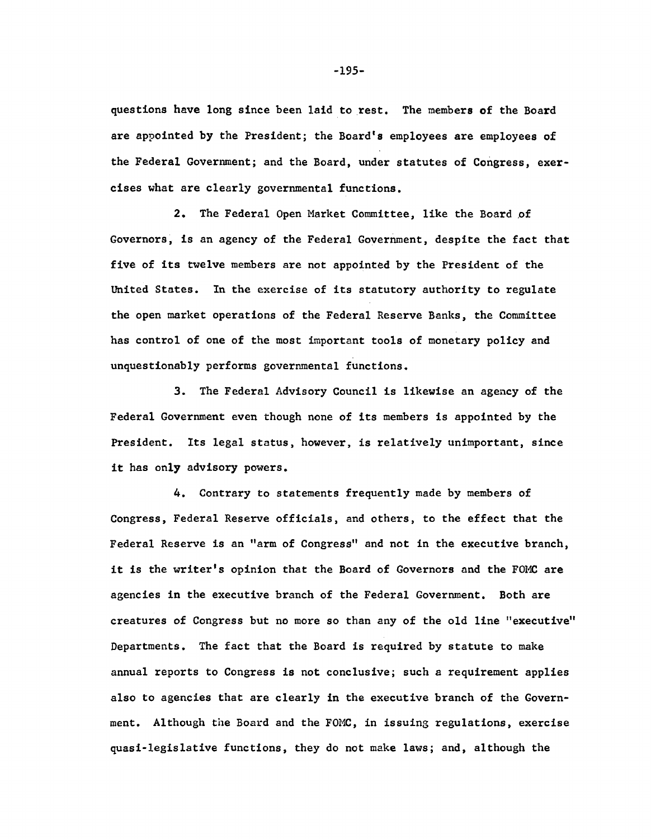questions have long since been laid to rest. The members of the Board are appointed by the President; the Board's employees are employees of the Federal Government; and the Board, under statutes of Congress, exercises what are clearly governmental functions.

2. The Federal Open Market Committee, like the Board of Governors, is an agency of the Federal Government, despite the fact that five of its twelve members are not appointed by the President of the United States. In the exercise of its statutory authority to regulate the open market operations of the Federal Reserve Banks, the Committee has control of one of the most important tools of monetary policy and unquestionably performs governmental functions.

3. The Federal Advisory Council is likewise an agency of the Federal Government even though none of its members is appointed by the President. Its legal status, however, is relatively unimportant, since it has only advisory powers.

A. Contrary to statements frequently made by members of Congress, Federal Reserve officials, and others, to the effect that the Federal Reserve is an "arm of Congress" and not in the executive branch, it is the writer's opinion that the Board of Governors and the FOMC are agencies in the executive branch of the Federal Government. Both are creatures of Congress but no more so than any of the old line "executive" Departments. The fact that the Board is required by statute to make annual reports to Congress is not conclusive; such a requirement applies also to agencies that are clearly in the executive branch of the Government. Although the Board and the FOMC, in issuing regulations, exercise quasi-legislative functions, they do not make laws; and, although the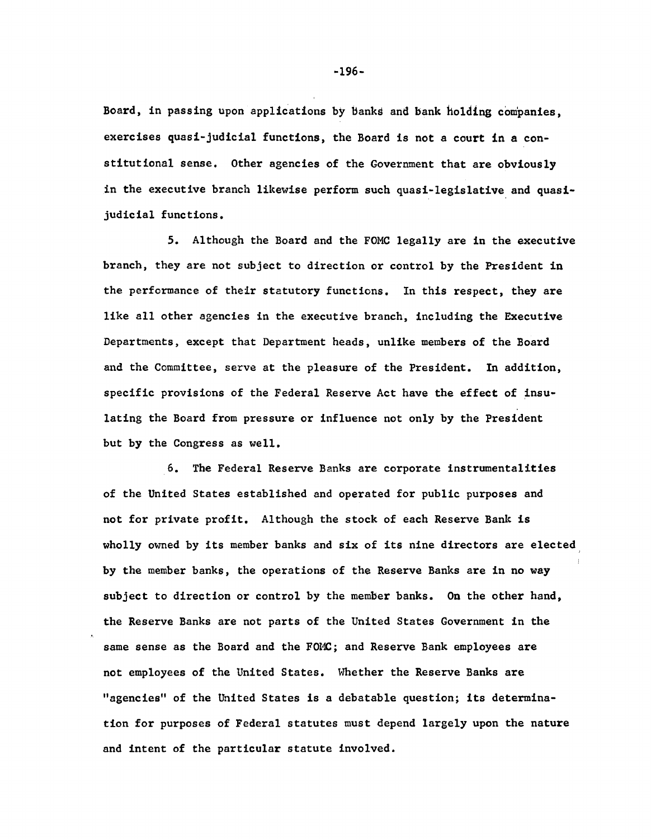Board, in passing upon applications by bankd and bank holding companies, exercises quasi-judicial functions, the Board is not a court in a constitutional sense. Other agencies of the Government that are obviously in the executive branch likewise perform such quasi-legislative and quasijudicial functions.

5. Although the Board and the FOMC legally are in the executive branch, they are not subject to direction or control by the President in the performance of their statutory functions. In this respect, they are like all other agencies in the executive branch, including the Executive Departments, except that Department heads, unlike members of the Board and the Committee, serve at the pleasure of the President. In addition, specific provisions of the Federal Reserve Act have the effect of insulating the Board from pressure or influence not only by the President but by the Congress as well.

6. The Federal Reserve Banks are corporate instrumentalities of the United States established and operated for public purposes and not for private profit. Although the stock of each Reserve Bank is wholly owned by its member banks and six of its nine directors are elected by the member banks, the operations of the Reserve Banks are in no way subject to direction or control by the member banks. On the other hand, the Reserve Banks are not parts of the United States Government in the same sense as the Board and the FOMC; and Reserve Bank employees are not employees of the United States. Whether the Reserve Banks are "agencies" of the United States is a debatable question; its determination for purposes of Federal statutes must depend largely upon the nature and intent of the particular statute involved.

**-196-**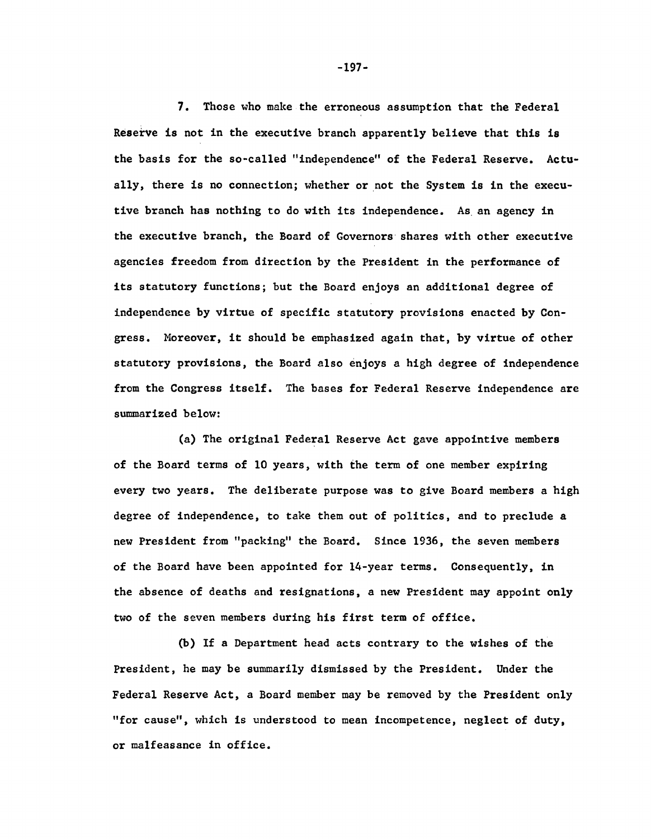7. Those who make the erroneous assumption that the Federal Reserve is not in the executive branch apparently believe that this is the basis for the so-called "independence" of the Federal Reserve. Actually, there is no connection; whether or not the System is in the executive branch has nothing to do with its independence. As an agency in the executive branch, the Board of Governors shares with other executive agencies freedom from direction by the President in the performance of its statutory functions; but the Board enjoys an additional degree of independence by virtue of specific statutory provisions enacted by Congress. Moreover, it should be emphasized again that, by virtue of other statutory provisions, the Board also enjoys a high degree of independence from the Congress itself. The bases for Federal Reserve independence are summarized below:

(a) The original Federal Reserve Act gave appointive members of the Board terms of 10 years, with the term of one member expiring every two years. The deliberate purpose was to give Board members a high degree of independence, to take them out of politics, and to preclude a new President from "packing" the Board. Since 1936, the seven members of the Board have been appointed for 14-year terms. Consequently, in the absence of deaths and resignations, a new President may appoint only two of the seven members during his first term of office.

(b) If a Department head acts contrary to the wishes of the President, he may be summarily dismissed by the President. Under the Federal Reserve Act, a Board member may be removed by the President only "for cause", which is understood to mean incompetence, neglect of duty, or malfeasance in office.

**-197-**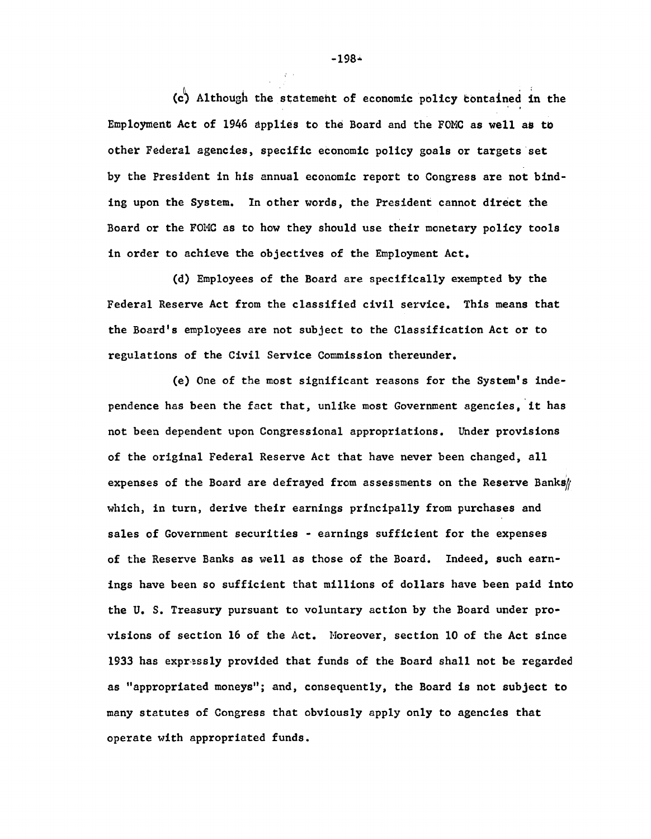(cj) Although the statemeht of economic pdlicy (contained in the Employment Act of 1946 applies to the Board and the FOMC as well as to other Federal agencies, specific economic policy goals or targets set by the President in his annual economic report to Congress are not binding upon the System. In other words, the President cannot direct the Board or the FOMC as to how they should use their monetary policy tools in order to achieve the objectives of the Employment Act.

(d) Employees of the Board are specifically exempted by the Federal Reserve Act from the classified civil service. This means that the Board's employees are not subject to the Classification Act or to regulations of the Civil Service Commission thereunder.

(e) One of the most significant reasons for the System's independence has been the fact that, unlike most Government agencies, it has not been dependent upon Congressional appropriations. Under provisions of the original Federal Reserve Act that have never been changed, all expenses of the Board are defrayed from assessments on the Reserve Banks// which, in turn, derive their earnings principally from purchases and sales of Government securities - earnings sufficient for the expenses of the Reserve Banks as well as those of the Board. Indeed, such earnings have been so sufficient that millions of dollars have been paid into the U. S. Treasury pursuant to voluntary action by the Board under provisions of section 16 of the Act. Moreover, section 10 of the Act since 1933 has expressly provided that funds of the Board shall not be regarded as "appropriated moneys"; and, consequently, the Board is not subject to many statutes of Congress that obviously apply only to agencies that operate with appropriated funds.

**-198\***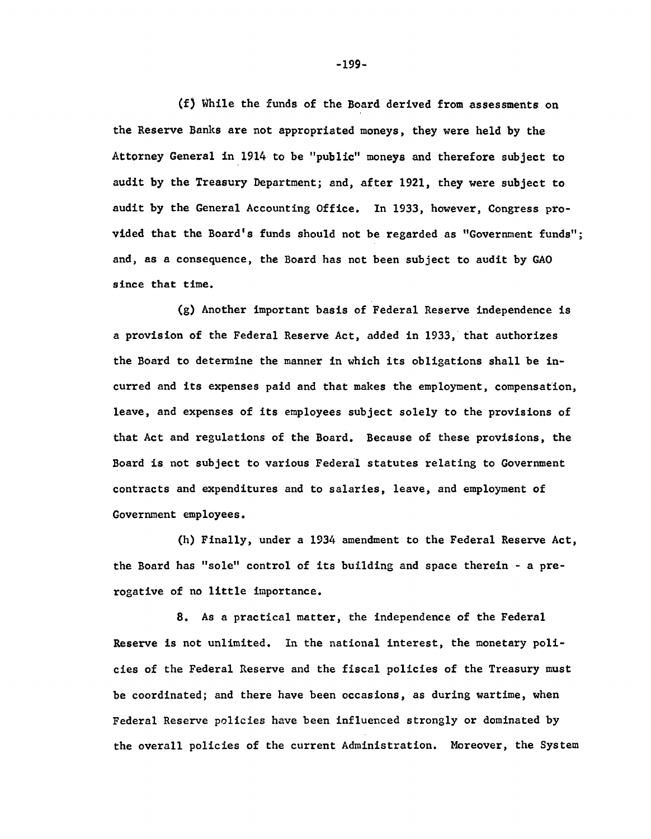(f) While the funds of the Board derived from assessments on the Reserve Banks are not appropriated moneys, they were held by the Attorney General in 1914 to be "public" moneys and therefore subject to audit by the Treasury Department; and, after 1921, they were subject to audit by the General Accounting Office. In 1933, however, Congress provided that the Board's funds should not be regarded as "Government funds"; and, as a consequence, the Board has not been subject to audit by GAO since that time.

(g) Another important basis of Federal Reserve independence is a provision of the Federal Reserve Act, added in 1933, that authorizes the Board to determine the manner in which its obligations shall be incurred and its expenses paid and that makes the employment, compensation, leave, and expenses of its employees subject solely to the provisions of that Act and regulations of the Board. Because of these provisions, the Board is not subject to various Federal statutes relating to Government contracts and expenditures and to salaries, leave, and employment of Government employees.

(h) Finally, under a 1934 amendment to the Federal Reserve Act, the Board has "sole" control of its building and space therein - a prerogative of no little importance.

8. As a practical matter, the independence of the Federal Reserve is not unlimited. In the national interest, the monetary policies of the Federal Reserve and the fiscal policies of the Treasury must be coordinated; and there have been occasions, as during wartime, when Federal Reserve policies have been influenced strongly or dominated by the overall policies of the current Administration. Moreover, the System

**-199-**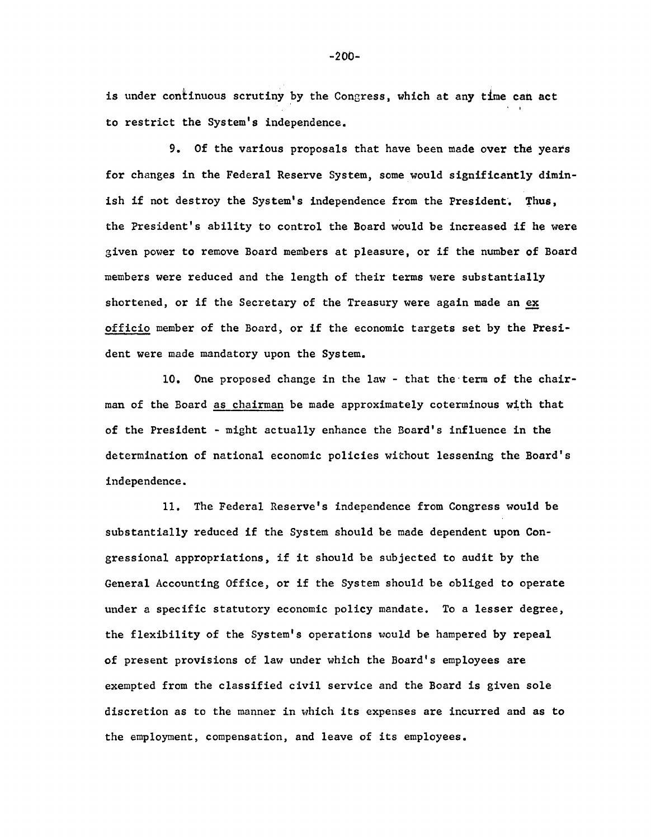is under continuous scrutiny by the Congress, which at any time can act to restrict the System's independence.

9. Of the various proposals that have been made over the years for changes in the Federal Reserve System, some would significantly diminish if not destroy the System's independence from the President. Thus, the President's ability to control the Board would be increased if he were given power to remove Board members at pleasure, or if the number of Board members were reduced and the length of their terms were substantially shortened, or if the Secretary of the Treasury were again made an ex officio member of the Board, or if the economic targets set by the President were made mandatory upon the System.

10. One proposed change in the law - that the term of the chairman of the Board as chairman be made approximately coterminous with that of the President - might actually enhance the Board's influence in the determination of national economic policies without lessening the Board's independence.

11. The Federal Reserve's independence from Congress would be substantially reduced if the System should be made dependent upon Congressional appropriations, if it should be subjected to audit by the General Accounting Office, or if the System should be obliged to operate under a specific statutory economic policy mandate. To a lesser degree, the flexibility of the System's operations would be hampered by repeal of present provisions of law under which the Board's employees are exempted from the classified civil service and the Board is given sole discretion as to the manner in which its expenses are incurred and as to the employment, compensation, and leave of its employees.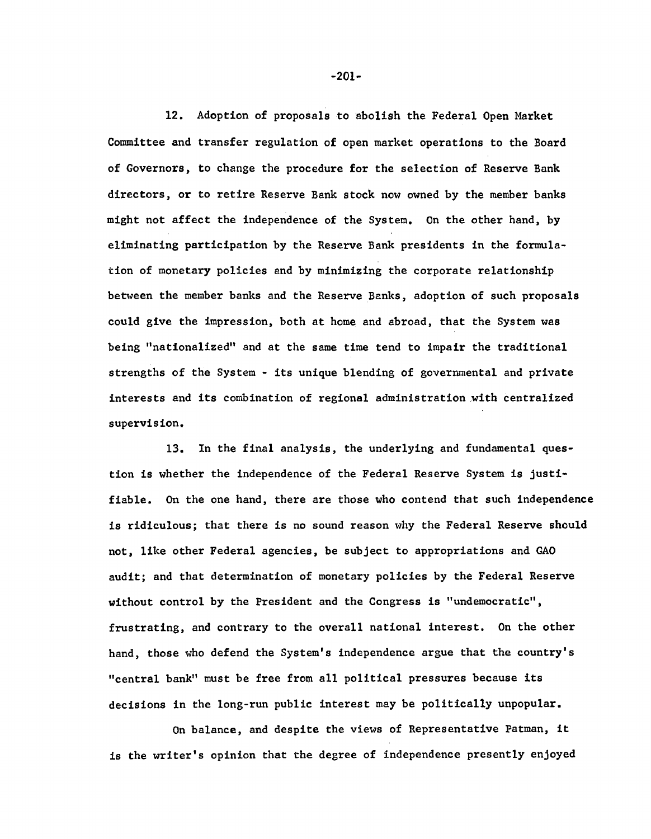12. Adoption of proposals to abolish the Federal Open Market Committee and transfer regulation of open market operations to the Board of Governors, to change the procedure for the selection of Reserve Bank directors, or to retire Reserve Bank stock now owned by the member banks might not affect the independence of the System. On the other hand, by eliminating participation by the Reserve Bank presidents in the formulation of monetary policies and by minimizing the corporate relationship between the member banks and the Reserve Banks, adoption of such proposals could give the impression, both at home and abroad, that the System was being "nationalized" and at the same time tend to impair the traditional strengths of the System - its unique blending of governmental and private interests and its combination of regional administration with centralized supervision.

13. In the final analysis, the underlying and fundamental question is whether the independence of the Federal Reserve System is justifiable. On the one hand, there are those who contend that such independence is ridiculous; that there is no sound reason why the Federal Reserve should not, like other Federal agencies, be subject to appropriations and GAO audit; and that determination of monetary policies by the Federal Reserve without control by the President and the Congress is "undemocratic", frustrating, and contrary to the overall national interest. On the other hand, those who defend the System's independence argue that the country's "central bank" must be free from all political pressures because its decisions in the long-run public interest may be politically unpopular.

On balance, and despite the views of Representative Patman, it is the writer's opinion that the degree of independence presently enjoyed

**-201-**